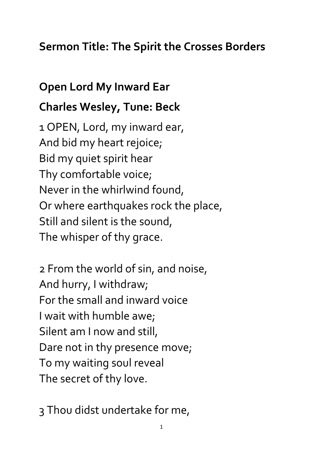## **Sermon Title: The Spirit the Crosses Borders**

## **Open Lord My Inward Ear**

## **Charles Wesley, Tune: Beck**

1 OPEN, Lord, my inward ear, And bid my heart rejoice; Bid my quiet spirit hear Thy comfortable voice; Never in the whirlwind found, Or where earthquakes rock the place, Still and silent is the sound, The whisper of thy grace.

2 From the world of sin, and noise, And hurry, I withdraw; For the small and inward voice I wait with humble awe; Silent am I now and still, Dare not in thy presence move; To my waiting soul reveal The secret of thy love.

3 Thou didst undertake for me,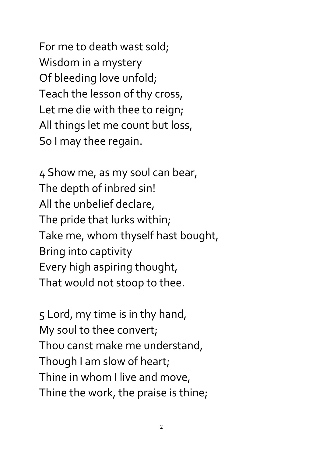For me to death wast sold; Wisdom in a mystery Of bleeding love unfold; Teach the lesson of thy cross, Let me die with thee to reign; All things let me count but loss, So I may thee regain.

4 Show me, as my soul can bear, The depth of inbred sin! All the unbelief declare, The pride that lurks within; Take me, whom thyself hast bought, Bring into captivity Every high aspiring thought, That would not stoop to thee.

5 Lord, my time is in thy hand, My soul to thee convert; Thou canst make me understand, Though I am slow of heart; Thine in whom I live and move, Thine the work, the praise is thine;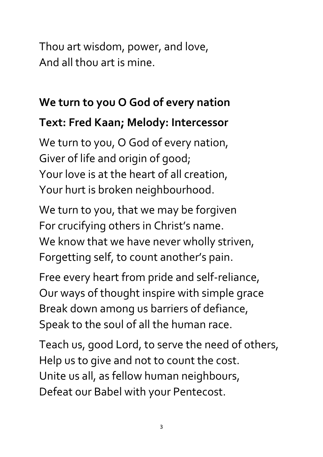Thou art wisdom, power, and love, And all thou art is mine.

# **We turn to you O God of every nation**

## **Text: Fred Kaan; Melody: Intercessor**

We turn to you, O God of every nation, Giver of life and origin of good; Your love is at the heart of all creation, Your hurt is broken neighbourhood.

We turn to you, that we may be forgiven For crucifying others in Christ's name. We know that we have never wholly striven, Forgetting self, to count another's pain.

Free every heart from pride and self-reliance, Our ways of thought inspire with simple grace Break down among us barriers of defiance, Speak to the soul of all the human race.

Teach us, good Lord, to serve the need of others, Help us to give and not to count the cost. Unite us all, as fellow human neighbours, Defeat our Babel with your Pentecost.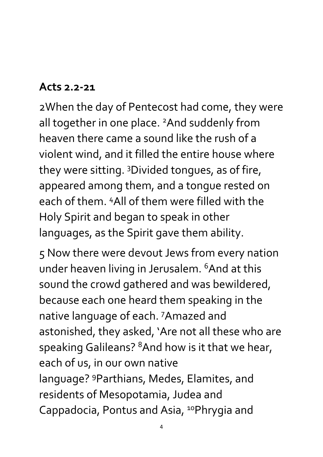### **Acts 2.2-21**

2When the day of Pentecost had come, they were all together in one place. <sup>2</sup>And suddenly from heaven there came a sound like the rush of a violent wind, and it filled the entire house where they were sitting. <sup>3</sup>Divided tongues, as of fire, appeared among them, and a tongue rested on each of them. <sup>4</sup>All of them were filled with the Holy Spirit and began to speak in other languages, as the Spirit gave them ability.

5 Now there were devout Jews from every nation under heaven living in Jerusalem. <sup>6</sup>And at this sound the crowd gathered and was bewildered, because each one heard them speaking in the native language of each. <sup>7</sup>Amazed and astonished, they asked, 'Are not all these who are speaking Galileans? <sup>8</sup>And how is it that we hear, each of us, in our own native language? <sup>9</sup>Parthians, Medes, Elamites, and residents of Mesopotamia, Judea and Cappadocia, Pontus and Asia, <sup>10</sup>Phrygia and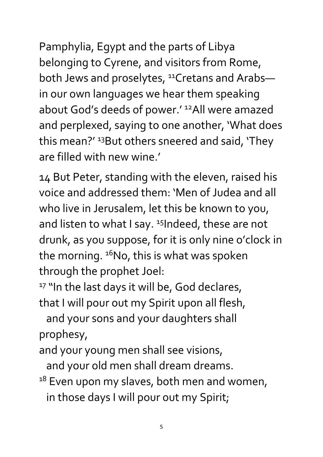Pamphylia, Egypt and the parts of Libya belonging to Cyrene, and visitors from Rome, both Jews and proselytes, <sup>11</sup>Cretans and Arabsin our own languages we hear them speaking about God's deeds of power.' <sup>12</sup>All were amazed and perplexed, saying to one another, 'What does this mean?' <sup>13</sup>But others sneered and said, 'They are filled with new wine.'

14 But Peter, standing with the eleven, raised his voice and addressed them: 'Men of Judea and all who live in Jerusalem, let this be known to you, and listen to what I say.  $15$ Indeed, these are not drunk, as you suppose, for it is only nine o'clock in the morning.  $16N$ o, this is what was spoken through the prophet Joel:

<sup>17</sup> "In the last days it will be, God declares, that I will pour out my Spirit upon all flesh,

 and your sons and your daughters shall prophesy,

and your young men shall see visions,

and your old men shall dream dreams.

<sup>18</sup> Even upon my slaves, both men and women,

in those days I will pour out my Spirit;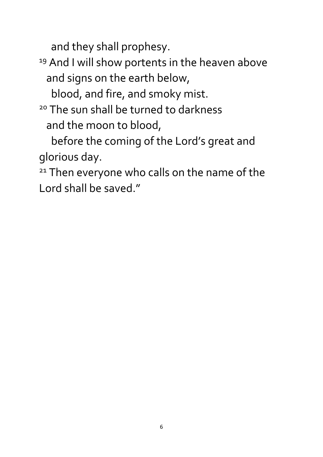and they shall prophesy.

<sup>19</sup> And I will show portents in the heaven above and signs on the earth below,

blood, and fire, and smoky mist.

<sup>20</sup> The sun shall be turned to darkness and the moon to blood,

 before the coming of the Lord's great and glorious day.

<sup>21</sup> Then everyone who calls on the name of the Lord shall be saved."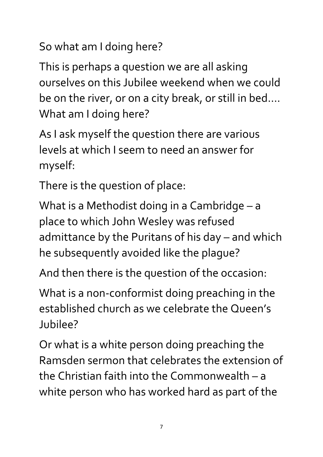So what am I doing here?

This is perhaps a question we are all asking ourselves on this Jubilee weekend when we could be on the river, or on a city break, or still in bed…. What am I doing here?

As I ask myself the question there are various levels at which I seem to need an answer for myself:

There is the question of place:

What is a Methodist doing in a Cambridge – a place to which John Wesley was refused admittance by the Puritans of his day – and which he subsequently avoided like the plague?

And then there is the question of the occasion:

What is a non-conformist doing preaching in the established church as we celebrate the Queen's Jubilee?

Or what is a white person doing preaching the Ramsden sermon that celebrates the extension of the Christian faith into the Commonwealth – a white person who has worked hard as part of the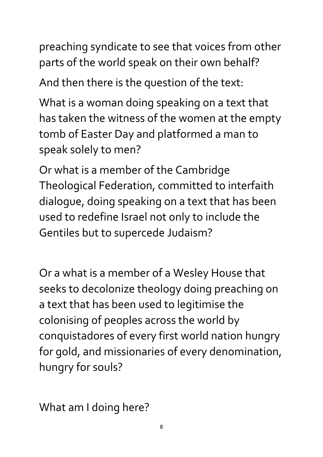preaching syndicate to see that voices from other parts of the world speak on their own behalf?

And then there is the question of the text:

What is a woman doing speaking on a text that has taken the witness of the women at the empty tomb of Easter Day and platformed a man to speak solely to men?

Or what is a member of the Cambridge Theological Federation, committed to interfaith dialogue, doing speaking on a text that has been used to redefine Israel not only to include the Gentiles but to supercede Judaism?

Or a what is a member of a Wesley House that seeks to decolonize theology doing preaching on a text that has been used to legitimise the colonising of peoples across the world by conquistadores of every first world nation hungry for gold, and missionaries of every denomination, hungry for souls?

What am I doing here?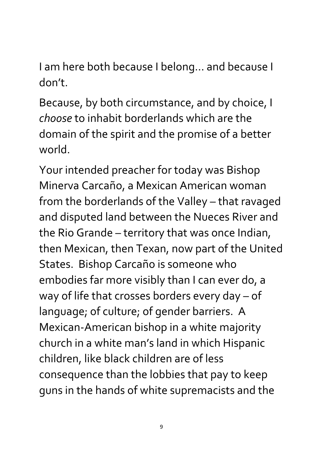I am here both because I belong… and because I don't.

Because, by both circumstance, and by choice, I *choose* to inhabit borderlands which are the domain of the spirit and the promise of a better world.

Your intended preacher for today was Bishop Minerva Carcaño, a Mexican American woman from the borderlands of the Valley – that ravaged and disputed land between the Nueces River and the Rio Grande – territory that was once Indian, then Mexican, then Texan, now part of the United States. Bishop Carcaño is someone who embodies far more visibly than I can ever do, a way of life that crosses borders every day – of language; of culture; of gender barriers. A Mexican-American bishop in a white majority church in a white man's land in which Hispanic children, like black children are of less consequence than the lobbies that pay to keep guns in the hands of white supremacists and the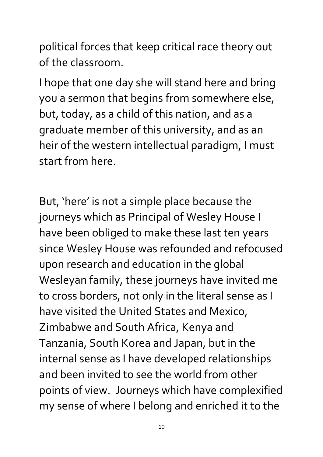political forces that keep critical race theory out of the classroom.

I hope that one day she will stand here and bring you a sermon that begins from somewhere else, but, today, as a child of this nation, and as a graduate member of this university, and as an heir of the western intellectual paradigm, I must start from here.

But, 'here' is not a simple place because the journeys which as Principal of Wesley House I have been obliged to make these last ten years since Wesley House was refounded and refocused upon research and education in the global Wesleyan family, these journeys have invited me to cross borders, not only in the literal sense as I have visited the United States and Mexico, Zimbabwe and South Africa, Kenya and Tanzania, South Korea and Japan, but in the internal sense as I have developed relationships and been invited to see the world from other points of view. Journeys which have complexified my sense of where I belong and enriched it to the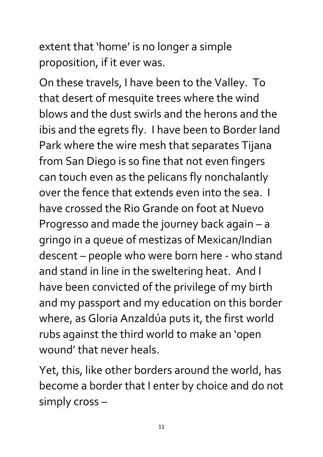extent that 'home' is no longer a simple proposition, if it ever was.

On these travels, I have been to the Valley. To that desert of mesquite trees where the wind blows and the dust swirls and the herons and the ibis and the egrets fly. I have been to Border land Park where the wire mesh that separates Tijana from San Diego is so fine that not even fingers can touch even as the pelicans fly nonchalantly over the fence that extends even into the sea. I have crossed the Rio Grande on foot at Nuevo Progresso and made the journey back again – a gringo in a queue of mestizas of Mexican/Indian descent – people who were born here - who stand and stand in line in the sweltering heat. And I have been convicted of the privilege of my birth and my passport and my education on this border where, as Gloria Anzaldúa puts it, the first world rubs against the third world to make an 'open wound' that never heals.

Yet, this, like other borders around the world, has become a border that I enter by choice and do not simply cross –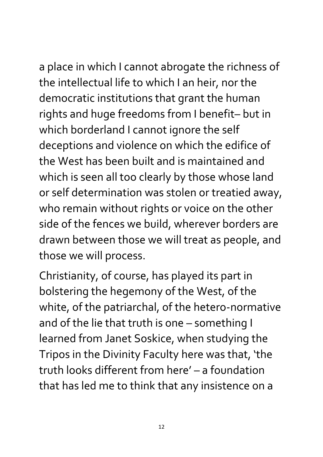a place in which I cannot abrogate the richness of the intellectual life to which I an heir, nor the democratic institutions that grant the human rights and huge freedoms from I benefit– but in which borderland I cannot ignore the self deceptions and violence on which the edifice of the West has been built and is maintained and which is seen all too clearly by those whose land or self determination was stolen or treatied away, who remain without rights or voice on the other side of the fences we build, wherever borders are drawn between those we will treat as people, and those we will process.

Christianity, of course, has played its part in bolstering the hegemony of the West, of the white, of the patriarchal, of the hetero-normative and of the lie that truth is one – something I learned from Janet Soskice, when studying the Tripos in the Divinity Faculty here was that, 'the truth looks different from here' – a foundation that has led me to think that any insistence on a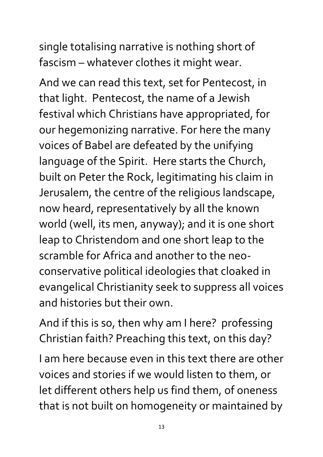single totalising narrative is nothing short of fascism – whatever clothes it might wear.

And we can read this text, set for Pentecost, in that light. Pentecost, the name of a Jewish festival which Christians have appropriated, for our hegemonizing narrative. For here the many voices of Babel are defeated by the unifying language of the Spirit. Here starts the Church, built on Peter the Rock, legitimating his claim in Jerusalem, the centre of the religious landscape, now heard, representatively by all the known world (well, its men, anyway); and it is one short leap to Christendom and one short leap to the scramble for Africa and another to the neoconservative political ideologies that cloaked in evangelical Christianity seek to suppress all voices and histories but their own.

And if this is so, then why am I here? professing Christian faith? Preaching this text, on this day?

I am here because even in this text there are other voices and stories if we would listen to them, or let different others help us find them, of oneness that is not built on homogeneity or maintained by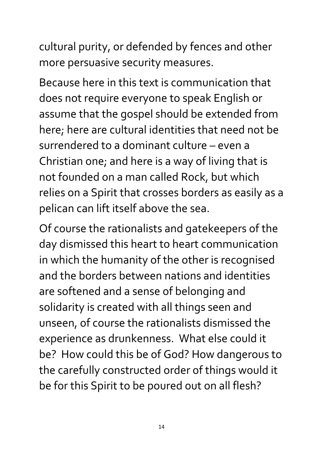cultural purity, or defended by fences and other more persuasive security measures.

Because here in this text is communication that does not require everyone to speak English or assume that the gospel should be extended from here; here are cultural identities that need not be surrendered to a dominant culture – even a Christian one; and here is a way of living that is not founded on a man called Rock, but which relies on a Spirit that crosses borders as easily as a pelican can lift itself above the sea.

Of course the rationalists and gatekeepers of the day dismissed this heart to heart communication in which the humanity of the other is recognised and the borders between nations and identities are softened and a sense of belonging and solidarity is created with all things seen and unseen, of course the rationalists dismissed the experience as drunkenness. What else could it be? How could this be of God? How dangerous to the carefully constructed order of things would it be for this Spirit to be poured out on all flesh?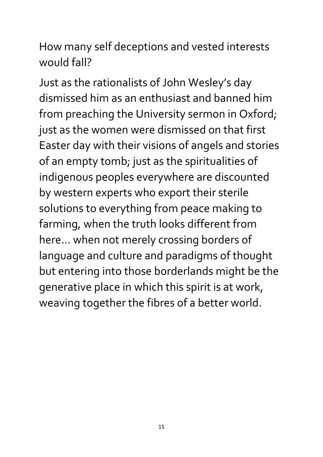How many self deceptions and vested interests would fall?

Just as the rationalists of John Wesley's day dismissed him as an enthusiast and banned him from preaching the University sermon in Oxford; just as the women were dismissed on that first Easter day with their visions of angels and stories of an empty tomb; just as the spiritualities of indigenous peoples everywhere are discounted by western experts who export their sterile solutions to everything from peace making to farming, when the truth looks different from here… when not merely crossing borders of language and culture and paradigms of thought but entering into those borderlands might be the generative place in which this spirit is at work, weaving together the fibres of a better world.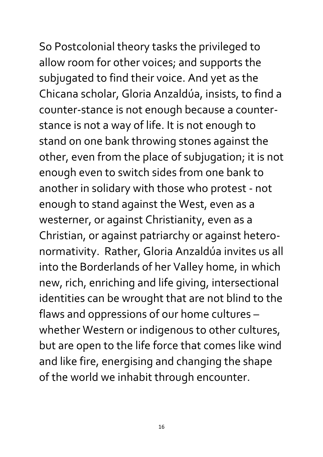So Postcolonial theory tasks the privileged to allow room for other voices; and supports the subjugated to find their voice. And yet as the Chicana scholar, Gloria Anzaldúa, insists, to find a counter-stance is not enough because a counterstance is not a way of life. It is not enough to stand on one bank throwing stones against the other, even from the place of subjugation; it is not enough even to switch sides from one bank to another in solidary with those who protest - not enough to stand against the West, even as a westerner, or against Christianity, even as a Christian, or against patriarchy or against heteronormativity. Rather, Gloria Anzaldúa invites us all into the Borderlands of her Valley home, in which new, rich, enriching and life giving, intersectional identities can be wrought that are not blind to the flaws and oppressions of our home cultures – whether Western or indigenous to other cultures, but are open to the life force that comes like wind and like fire, energising and changing the shape of the world we inhabit through encounter.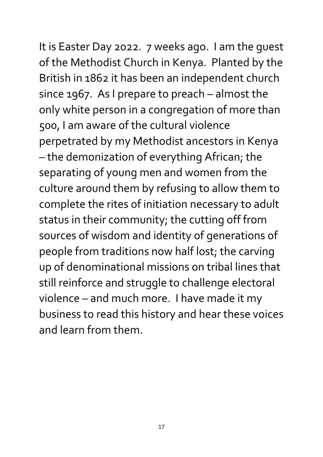It is Easter Day 2022. 7 weeks ago. I am the guest of the Methodist Church in Kenya. Planted by the British in 1862 it has been an independent church since 1967. As I prepare to preach – almost the only white person in a congregation of more than 500, I am aware of the cultural violence perpetrated by my Methodist ancestors in Kenya – the demonization of everything African; the separating of young men and women from the culture around them by refusing to allow them to complete the rites of initiation necessary to adult status in their community; the cutting off from sources of wisdom and identity of generations of people from traditions now half lost; the carving up of denominational missions on tribal lines that still reinforce and struggle to challenge electoral violence – and much more. I have made it my business to read this history and hear these voices and learn from them.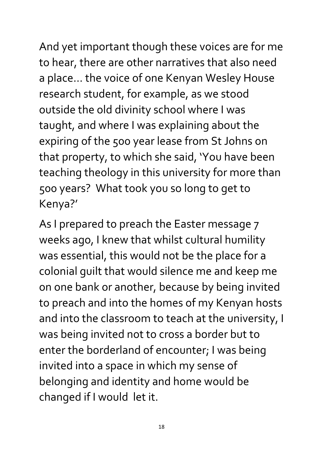And yet important though these voices are for me to hear, there are other narratives that also need a place… the voice of one Kenyan Wesley House research student, for example, as we stood outside the old divinity school where I was taught, and where I was explaining about the expiring of the 500 year lease from St Johns on that property, to which she said, 'You have been teaching theology in this university for more than 500 years? What took you so long to get to Kenya?'

As I prepared to preach the Easter message 7 weeks ago, I knew that whilst cultural humility was essential, this would not be the place for a colonial guilt that would silence me and keep me on one bank or another, because by being invited to preach and into the homes of my Kenyan hosts and into the classroom to teach at the university, I was being invited not to cross a border but to enter the borderland of encounter; I was being invited into a space in which my sense of belonging and identity and home would be changed if I would let it.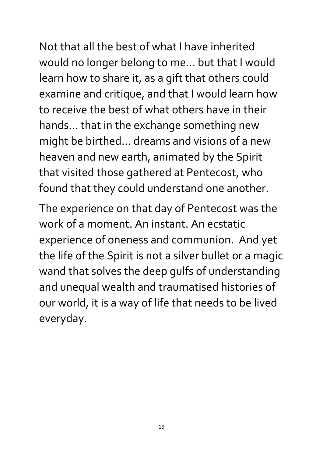Not that all the best of what I have inherited would no longer belong to me… but that I would learn how to share it, as a gift that others could examine and critique, and that I would learn how to receive the best of what others have in their hands… that in the exchange something new might be birthed… dreams and visions of a new heaven and new earth, animated by the Spirit that visited those gathered at Pentecost, who found that they could understand one another.

The experience on that day of Pentecost was the work of a moment. An instant. An ecstatic experience of oneness and communion. And yet the life of the Spirit is not a silver bullet or a magic wand that solves the deep gulfs of understanding and unequal wealth and traumatised histories of our world, it is a way of life that needs to be lived everyday.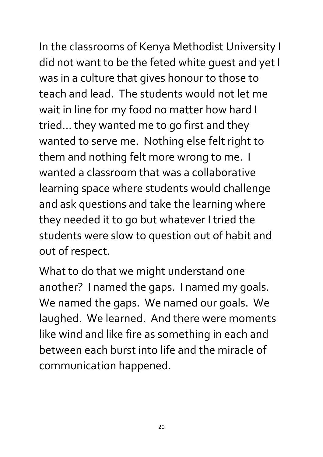In the classrooms of Kenya Methodist University I did not want to be the feted white guest and yet I was in a culture that gives honour to those to teach and lead. The students would not let me wait in line for my food no matter how hard I tried… they wanted me to go first and they wanted to serve me. Nothing else felt right to them and nothing felt more wrong to me. I wanted a classroom that was a collaborative learning space where students would challenge and ask questions and take the learning where they needed it to go but whatever I tried the students were slow to question out of habit and out of respect.

What to do that we might understand one another? I named the gaps. I named my goals. We named the gaps. We named our goals. We laughed. We learned. And there were moments like wind and like fire as something in each and between each burst into life and the miracle of communication happened.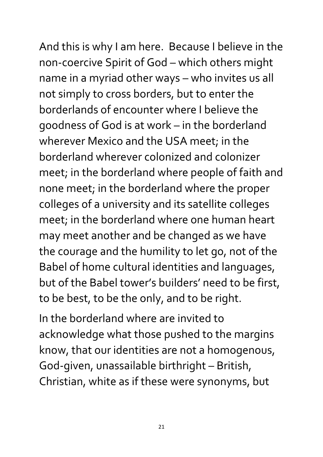And this is why I am here. Because I believe in the non-coercive Spirit of God – which others might name in a myriad other ways – who invites us all not simply to cross borders, but to enter the borderlands of encounter where I believe the goodness of God is at work – in the borderland wherever Mexico and the USA meet; in the borderland wherever colonized and colonizer meet; in the borderland where people of faith and none meet; in the borderland where the proper colleges of a university and its satellite colleges meet; in the borderland where one human heart may meet another and be changed as we have the courage and the humility to let go, not of the Babel of home cultural identities and languages, but of the Babel tower's builders' need to be first, to be best, to be the only, and to be right.

In the borderland where are invited to acknowledge what those pushed to the margins know, that our identities are not a homogenous, God-given, unassailable birthright – British, Christian, white as if these were synonyms, but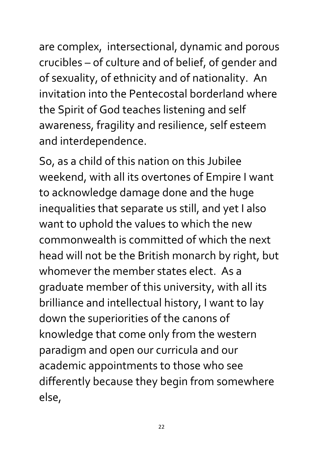are complex, intersectional, dynamic and porous crucibles – of culture and of belief, of gender and of sexuality, of ethnicity and of nationality. An invitation into the Pentecostal borderland where the Spirit of God teaches listening and self awareness, fragility and resilience, self esteem and interdependence.

So, as a child of this nation on this Jubilee weekend, with all its overtones of Empire I want to acknowledge damage done and the huge inequalities that separate us still, and yet I also want to uphold the values to which the new commonwealth is committed of which the next head will not be the British monarch by right, but whomever the member states elect. As a graduate member of this university, with all its brilliance and intellectual history, I want to lay down the superiorities of the canons of knowledge that come only from the western paradigm and open our curricula and our academic appointments to those who see differently because they begin from somewhere else,